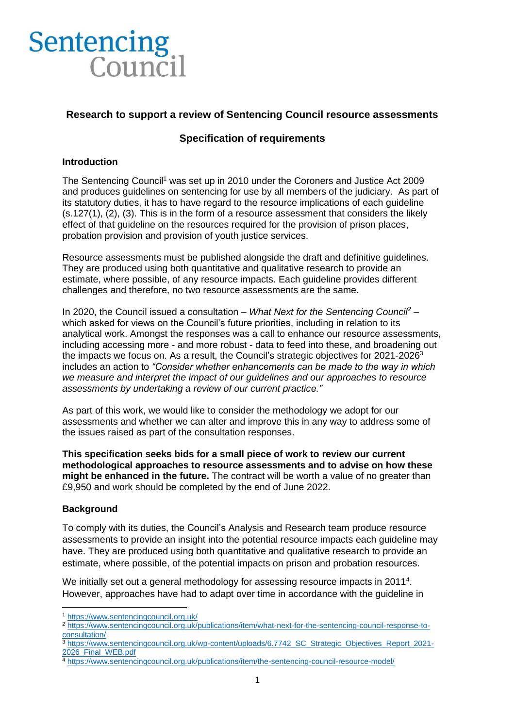# **Sentencing** Council

## **Research to support a review of Sentencing Council resource assessments**

## **Specification of requirements**

#### **Introduction**

The Sentencing Council<sup>1</sup> was set up in 2010 under the Coroners and Justice Act 2009 and produces guidelines on sentencing for use by all members of the judiciary. As part of its statutory duties, it has to have regard to the resource implications of each guideline (s.127(1), (2), (3). This is in the form of a resource assessment that considers the likely effect of that guideline on the resources required for the provision of prison places, probation provision and provision of youth justice services.

Resource assessments must be published alongside the draft and definitive guidelines. They are produced using both quantitative and qualitative research to provide an estimate, where possible, of any resource impacts. Each guideline provides different challenges and therefore, no two resource assessments are the same.

In 2020, the Council issued a consultation – *What Next for the Sentencing Council<sup>2</sup>* – which asked for views on the Council's future priorities, including in relation to its analytical work. Amongst the responses was a call to enhance our resource assessments, including accessing more - and more robust - data to feed into these, and broadening out the impacts we focus on. As a result, the Council's strategic objectives for 2021-2026<sup>3</sup> includes an action to *"Consider whether enhancements can be made to the way in which we measure and interpret the impact of our guidelines and our approaches to resource assessments by undertaking a review of our current practice."* 

As part of this work, we would like to consider the methodology we adopt for our assessments and whether we can alter and improve this in any way to address some of the issues raised as part of the consultation responses.

**This specification seeks bids for a small piece of work to review our current methodological approaches to resource assessments and to advise on how these might be enhanced in the future.** The contract will be worth a value of no greater than £9,950 and work should be completed by the end of June 2022.

#### **Background**

To comply with its duties, the Council's Analysis and Research team produce resource assessments to provide an insight into the potential resource impacts each guideline may have. They are produced using both quantitative and qualitative research to provide an estimate, where possible, of the potential impacts on prison and probation resources.

<span id="page-0-0"></span>We initially set out a general methodology for assessing resource impacts in 2011<sup>4</sup>. However, approaches have had to adapt over time in accordance with the guideline in

<sup>1</sup> <https://www.sentencingcouncil.org.uk/>

<sup>2</sup> [https://www.sentencingcouncil.org.uk/publications/item/what-next-for-the-sentencing-council-response-to](https://www.sentencingcouncil.org.uk/publications/item/what-next-for-the-sentencing-council-response-to-consultation/)[consultation/](https://www.sentencingcouncil.org.uk/publications/item/what-next-for-the-sentencing-council-response-to-consultation/)

<sup>3</sup> [https://www.sentencingcouncil.org.uk/wp-content/uploads/6.7742\\_SC\\_Strategic\\_Objectives\\_Report\\_2021-](https://www.sentencingcouncil.org.uk/wp-content/uploads/6.7742_SC_Strategic_Objectives_Report_2021-2026_Final_WEB.pdf) [2026\\_Final\\_WEB.pdf](https://www.sentencingcouncil.org.uk/wp-content/uploads/6.7742_SC_Strategic_Objectives_Report_2021-2026_Final_WEB.pdf)

<sup>4</sup> <https://www.sentencingcouncil.org.uk/publications/item/the-sentencing-council-resource-model/>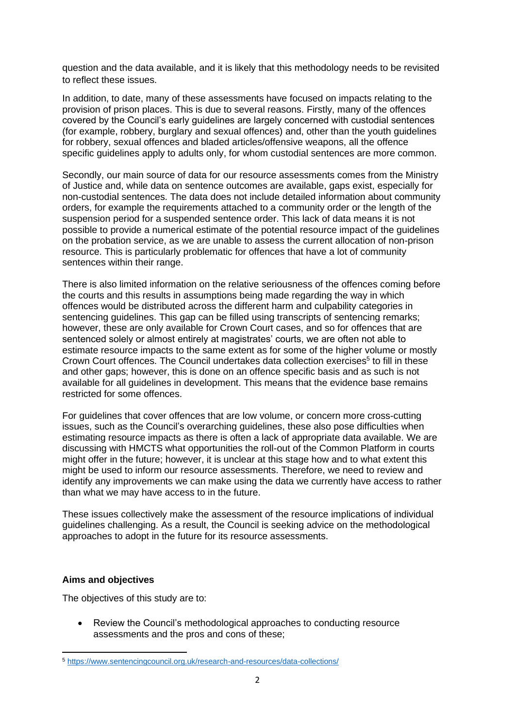question and the data available, and it is likely that this methodology needs to be revisited to reflect these issues.

In addition, to date, many of these assessments have focused on impacts relating to the provision of prison places. This is due to several reasons. Firstly, many of the offences covered by the Council's early guidelines are largely concerned with custodial sentences (for example, robbery, burglary and sexual offences) and, other than the youth guidelines for robbery, sexual offences and bladed articles/offensive weapons, all the offence specific guidelines apply to adults only, for whom custodial sentences are more common.

Secondly, our main source of data for our resource assessments comes from the Ministry of Justice and, while data on sentence outcomes are available, gaps exist, especially for non-custodial sentences. The data does not include detailed information about community orders, for example the requirements attached to a community order or the length of the suspension period for a suspended sentence order. This lack of data means it is not possible to provide a numerical estimate of the potential resource impact of the guidelines on the probation service, as we are unable to assess the current allocation of non-prison resource. This is particularly problematic for offences that have a lot of community sentences within their range.

There is also limited information on the relative seriousness of the offences coming before the courts and this results in assumptions being made regarding the way in which offences would be distributed across the different harm and culpability categories in sentencing guidelines. This gap can be filled using transcripts of sentencing remarks; however, these are only available for Crown Court cases, and so for offences that are sentenced solely or almost entirely at magistrates' courts, we are often not able to estimate resource impacts to the same extent as for some of the higher volume or mostly Crown Court offences. The Council undertakes data collection exercises<sup>5</sup> to fill in these and other gaps; however, this is done on an offence specific basis and as such is not available for all guidelines in development. This means that the evidence base remains restricted for some offences.

For guidelines that cover offences that are low volume, or concern more cross-cutting issues, such as the Council's overarching guidelines, these also pose difficulties when estimating resource impacts as there is often a lack of appropriate data available. We are discussing with HMCTS what opportunities the roll-out of the Common Platform in courts might offer in the future; however, it is unclear at this stage how and to what extent this might be used to inform our resource assessments. Therefore, we need to review and identify any improvements we can make using the data we currently have access to rather than what we may have access to in the future.

These issues collectively make the assessment of the resource implications of individual guidelines challenging. As a result, the Council is seeking advice on the methodological approaches to adopt in the future for its resource assessments.

#### **Aims and objectives**

The objectives of this study are to:

• Review the Council's methodological approaches to conducting resource assessments and the pros and cons of these;

<sup>5</sup> <https://www.sentencingcouncil.org.uk/research-and-resources/data-collections/>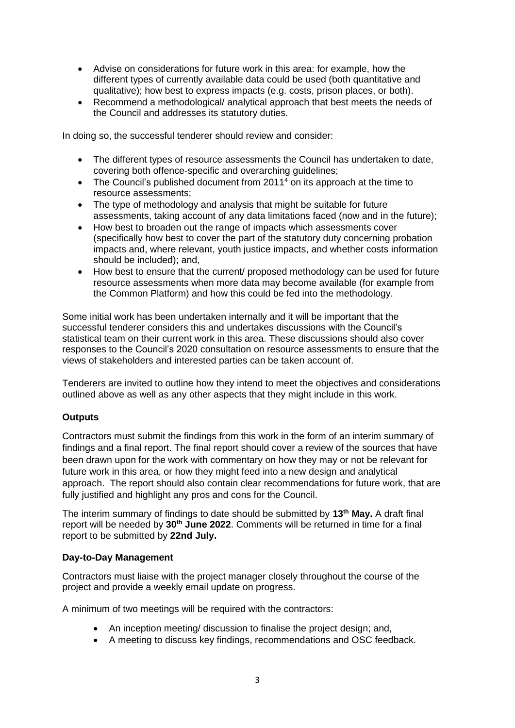- Advise on considerations for future work in this area: for example, how the different types of currently available data could be used (both quantitative and qualitative); how best to express impacts (e.g. costs, prison places, or both).
- Recommend a methodological/ analytical approach that best meets the needs of the Council and addresses its statutory duties.

In doing so, the successful tenderer should review and consider:

- The different types of resource assessments the Council has undertaken to date, covering both offence-specific and overarching guidelines;
- The Council's published document from 20[1](#page-0-0)1<sup>4</sup> on its approach at the time to resource assessments;
- The type of methodology and analysis that might be suitable for future assessments, taking account of any data limitations faced (now and in the future);
- How best to broaden out the range of impacts which assessments cover (specifically how best to cover the part of the statutory duty concerning probation impacts and, where relevant, youth justice impacts, and whether costs information should be included); and,
- How best to ensure that the current/ proposed methodology can be used for future resource assessments when more data may become available (for example from the Common Platform) and how this could be fed into the methodology.

Some initial work has been undertaken internally and it will be important that the successful tenderer considers this and undertakes discussions with the Council's statistical team on their current work in this area. These discussions should also cover responses to the Council's 2020 consultation on resource assessments to ensure that the views of stakeholders and interested parties can be taken account of.

Tenderers are invited to outline how they intend to meet the objectives and considerations outlined above as well as any other aspects that they might include in this work.

#### **Outputs**

Contractors must submit the findings from this work in the form of an interim summary of findings and a final report. The final report should cover a review of the sources that have been drawn upon for the work with commentary on how they may or not be relevant for future work in this area, or how they might feed into a new design and analytical approach. The report should also contain clear recommendations for future work, that are fully justified and highlight any pros and cons for the Council.

The interim summary of findings to date should be submitted by **13th May.** A draft final report will be needed by **30th June 2022**. Comments will be returned in time for a final report to be submitted by **22nd July.** 

#### **Day-to-Day Management**

Contractors must liaise with the project manager closely throughout the course of the project and provide a weekly email update on progress.

A minimum of two meetings will be required with the contractors:

- An inception meeting/ discussion to finalise the project design; and,
- A meeting to discuss key findings, recommendations and OSC feedback.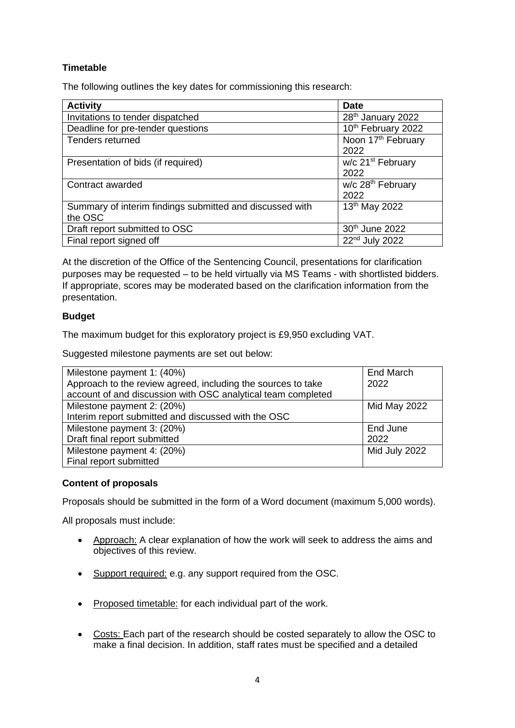## **Timetable**

The following outlines the key dates for commissioning this research:

| <b>Activity</b>                                                     | <b>Date</b>                            |
|---------------------------------------------------------------------|----------------------------------------|
| Invitations to tender dispatched                                    | 28 <sup>th</sup> January 2022          |
| Deadline for pre-tender questions                                   | 10th February 2022                     |
| Tenders returned                                                    | Noon 17 <sup>th</sup> February<br>2022 |
| Presentation of bids (if required)                                  | w/c 21 <sup>st</sup> February<br>2022  |
| Contract awarded                                                    | w/c 28 <sup>th</sup> February<br>2022  |
| Summary of interim findings submitted and discussed with<br>the OSC | 13th May 2022                          |
| Draft report submitted to OSC                                       | 30th June 2022                         |
| Final report signed off                                             | 22 <sup>nd</sup> July 2022             |

At the discretion of the Office of the Sentencing Council, presentations for clarification purposes may be requested – to be held virtually via MS Teams - with shortlisted bidders. If appropriate, scores may be moderated based on the clarification information from the presentation.

#### **Budget**

The maximum budget for this exploratory project is £9,950 excluding VAT.

Suggested milestone payments are set out below:

| Milestone payment 1: (40%)                                   | End March     |
|--------------------------------------------------------------|---------------|
| Approach to the review agreed, including the sources to take | 2022          |
| account of and discussion with OSC analytical team completed |               |
| Milestone payment 2: (20%)                                   | Mid May 2022  |
| Interim report submitted and discussed with the OSC          |               |
| Milestone payment 3: (20%)                                   | End June      |
| Draft final report submitted                                 | 2022          |
| Milestone payment 4: (20%)                                   | Mid July 2022 |
| Final report submitted                                       |               |

### **Content of proposals**

Proposals should be submitted in the form of a Word document (maximum 5,000 words).

All proposals must include:

- Approach: A clear explanation of how the work will seek to address the aims and objectives of this review.
- Support required: e.g. any support required from the OSC.
- Proposed timetable: for each individual part of the work.
- Costs: Each part of the research should be costed separately to allow the OSC to make a final decision. In addition, staff rates must be specified and a detailed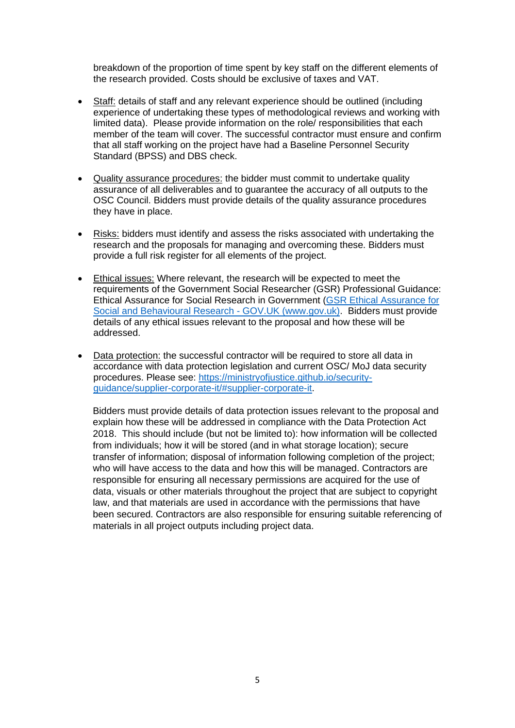breakdown of the proportion of time spent by key staff on the different elements of the research provided. Costs should be exclusive of taxes and VAT.

- Staff: details of staff and any relevant experience should be outlined (including experience of undertaking these types of methodological reviews and working with limited data). Please provide information on the role/ responsibilities that each member of the team will cover. The successful contractor must ensure and confirm that all staff working on the project have had a Baseline Personnel Security Standard (BPSS) and DBS check.
- Quality assurance procedures: the bidder must commit to undertake quality assurance of all deliverables and to guarantee the accuracy of all outputs to the OSC Council. Bidders must provide details of the quality assurance procedures they have in place.
- Risks: bidders must identify and assess the risks associated with undertaking the research and the proposals for managing and overcoming these. Bidders must provide a full risk register for all elements of the project.
- Ethical issues: Where relevant, the research will be expected to meet the requirements of the Government Social Researcher (GSR) Professional Guidance: Ethical Assurance for Social Research in Government [\(GSR Ethical Assurance for](https://www.gov.uk/government/publications/ethical-assurance-guidance-for-social-research-in-government)  [Social and Behavioural Research -](https://www.gov.uk/government/publications/ethical-assurance-guidance-for-social-research-in-government) GOV.UK (www.gov.uk). Bidders must provide details of any ethical issues relevant to the proposal and how these will be addressed.
- Data protection: the successful contractor will be required to store all data in accordance with data protection legislation and current OSC/ MoJ data security procedures. Please see: [https://ministryofjustice.github.io/security](https://ministryofjustice.github.io/security-guidance/supplier-corporate-it/#supplier-corporate-it)[guidance/supplier-corporate-it/#supplier-corporate-it.](https://ministryofjustice.github.io/security-guidance/supplier-corporate-it/#supplier-corporate-it)

Bidders must provide details of data protection issues relevant to the proposal and explain how these will be addressed in compliance with the Data Protection Act 2018. This should include (but not be limited to): how information will be collected from individuals; how it will be stored (and in what storage location); secure transfer of information; disposal of information following completion of the project; who will have access to the data and how this will be managed. Contractors are responsible for ensuring all necessary permissions are acquired for the use of data, visuals or other materials throughout the project that are subject to copyright law, and that materials are used in accordance with the permissions that have been secured. Contractors are also responsible for ensuring suitable referencing of materials in all project outputs including project data.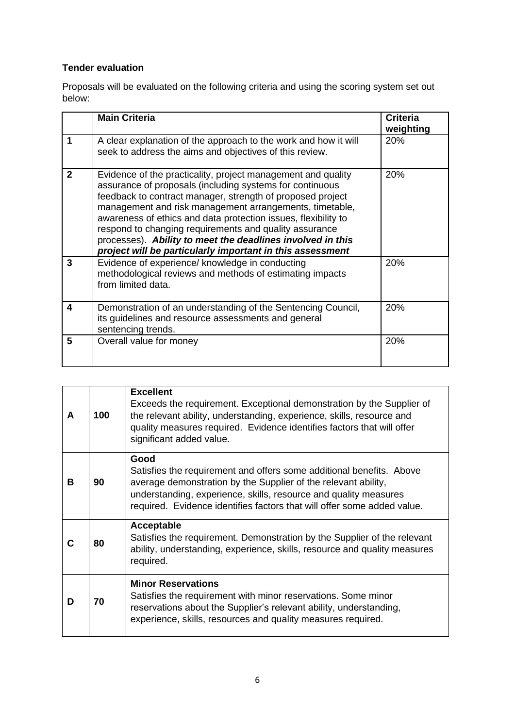# **Tender evaluation**

Proposals will be evaluated on the following criteria and using the scoring system set out below:

|                  | <b>Main Criteria</b>                                                                                                                                                                                                                                                                                                                                                                                                                                                                                     | <b>Criteria</b><br>weighting |
|------------------|----------------------------------------------------------------------------------------------------------------------------------------------------------------------------------------------------------------------------------------------------------------------------------------------------------------------------------------------------------------------------------------------------------------------------------------------------------------------------------------------------------|------------------------------|
| 1                | A clear explanation of the approach to the work and how it will<br>seek to address the aims and objectives of this review.                                                                                                                                                                                                                                                                                                                                                                               | 20%                          |
| $\mathbf{2}$     | Evidence of the practicality, project management and quality<br>assurance of proposals (including systems for continuous<br>feedback to contract manager, strength of proposed project<br>management and risk management arrangements, timetable,<br>awareness of ethics and data protection issues, flexibility to<br>respond to changing requirements and quality assurance<br>processes). Ability to meet the deadlines involved in this<br>project will be particularly important in this assessment | 20%                          |
| 3                | Evidence of experience/ knowledge in conducting<br>methodological reviews and methods of estimating impacts<br>from limited data.                                                                                                                                                                                                                                                                                                                                                                        | <b>20%</b>                   |
| $\boldsymbol{4}$ | Demonstration of an understanding of the Sentencing Council,<br>its guidelines and resource assessments and general<br>sentencing trends.                                                                                                                                                                                                                                                                                                                                                                | 20%                          |
| 5                | Overall value for money                                                                                                                                                                                                                                                                                                                                                                                                                                                                                  | 20%                          |

| A | 100 | <b>Excellent</b><br>Exceeds the requirement. Exceptional demonstration by the Supplier of<br>the relevant ability, understanding, experience, skills, resource and<br>quality measures required. Evidence identifies factors that will offer<br>significant added value.                      |
|---|-----|-----------------------------------------------------------------------------------------------------------------------------------------------------------------------------------------------------------------------------------------------------------------------------------------------|
| B | 90  | Good<br>Satisfies the requirement and offers some additional benefits. Above<br>average demonstration by the Supplier of the relevant ability,<br>understanding, experience, skills, resource and quality measures<br>required. Evidence identifies factors that will offer some added value. |
| С | 80  | Acceptable<br>Satisfies the requirement. Demonstration by the Supplier of the relevant<br>ability, understanding, experience, skills, resource and quality measures<br>required.                                                                                                              |
| D | 70  | <b>Minor Reservations</b><br>Satisfies the requirement with minor reservations. Some minor<br>reservations about the Supplier's relevant ability, understanding,<br>experience, skills, resources and quality measures required.                                                              |